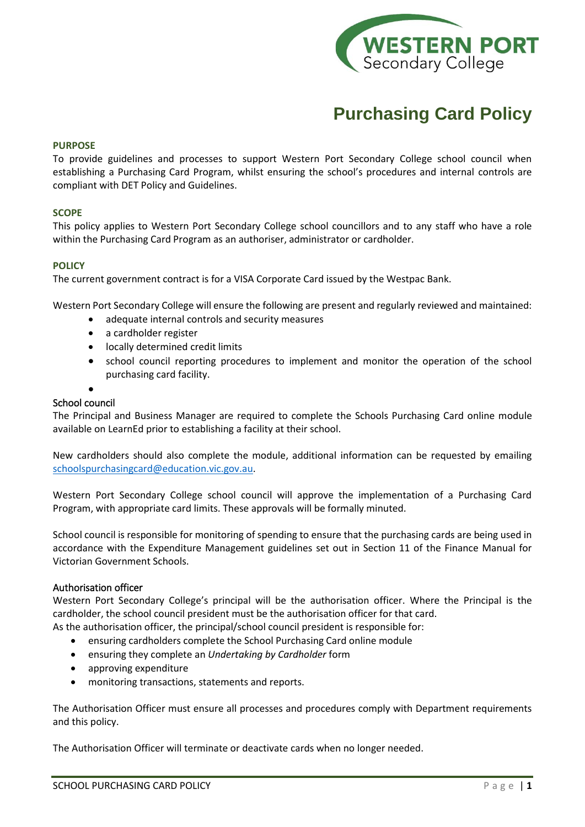

# **Purchasing Card Policy**

## **PURPOSE**

To provide guidelines and processes to support Western Port Secondary College school council when establishing a Purchasing Card Program, whilst ensuring the school's procedures and internal controls are compliant with DET Policy and Guidelines.

## **SCOPE**

This policy applies to Western Port Secondary College school councillors and to any staff who have a role within the Purchasing Card Program as an authoriser, administrator or cardholder.

## **POLICY**

The current government contract is for a VISA Corporate Card issued by the Westpac Bank.

Western Port Secondary College will ensure the following are present and regularly reviewed and maintained:

- adequate internal controls and security measures
- a cardholder register
- locally determined credit limits
- school council reporting procedures to implement and monitor the operation of the school purchasing card facility.
- •

### School council

The Principal and Business Manager are required to complete the Schools Purchasing Card online module available on LearnEd prior to establishing a facility at their school.

New cardholders should also complete the module, additional information can be requested by emailing [schoolspurchasingcard@education.vic.gov.au.](mailto:schoolspurchasingcard@education.vic.gov.au)

Western Port Secondary College school council will approve the implementation of a Purchasing Card Program, with appropriate card limits. These approvals will be formally minuted.

School council is responsible for monitoring of spending to ensure that the purchasing cards are being used in accordance with the Expenditure Management guidelines set out in Section 11 of the Finance Manual for Victorian Government Schools.

#### Authorisation officer

Western Port Secondary College's principal will be the authorisation officer. Where the Principal is the cardholder, the school council president must be the authorisation officer for that card.

As the authorisation officer, the principal/school council president is responsible for:

- ensuring cardholders complete the School Purchasing Card online module
- ensuring they complete an *Undertaking by Cardholder* form
- approving expenditure
- monitoring transactions, statements and reports.

The Authorisation Officer must ensure all processes and procedures comply with Department requirements and this policy.

The Authorisation Officer will terminate or deactivate cards when no longer needed.